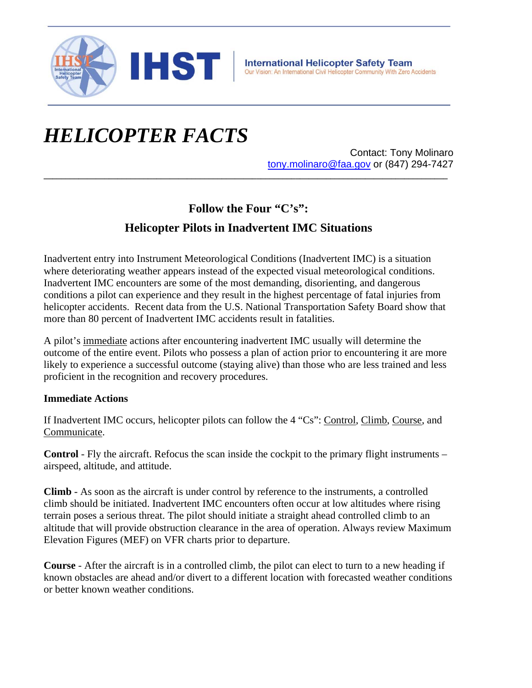

# *HELICOPTER FACTS*

Contact: Tony Molinaro tony.molinaro@faa.gov or (847) 294-7427

## **Follow the Four "C's":**

**\_\_\_\_\_\_\_\_\_\_\_\_\_\_\_\_\_\_\_\_\_\_\_\_\_\_\_\_\_\_\_\_\_\_\_\_\_\_\_\_\_\_\_\_\_\_\_\_\_\_\_\_\_\_\_\_\_\_\_\_\_\_\_\_\_\_\_\_\_\_\_\_\_\_\_\_\_\_\_\_\_\_\_\_\_\_\_\_\_\_\_\_\_**

## **Helicopter Pilots in Inadvertent IMC Situations**

Inadvertent entry into Instrument Meteorological Conditions (Inadvertent IMC) is a situation where deteriorating weather appears instead of the expected visual meteorological conditions. Inadvertent IMC encounters are some of the most demanding, disorienting, and dangerous conditions a pilot can experience and they result in the highest percentage of fatal injuries from helicopter accidents. Recent data from the U.S. National Transportation Safety Board show that more than 80 percent of Inadvertent IMC accidents result in fatalities.

A pilot's immediate actions after encountering inadvertent IMC usually will determine the outcome of the entire event. Pilots who possess a plan of action prior to encountering it are more likely to experience a successful outcome (staying alive) than those who are less trained and less proficient in the recognition and recovery procedures.

#### **Immediate Actions**

If Inadvertent IMC occurs, helicopter pilots can follow the 4 "Cs": Control, Climb, Course, and Communicate.

**Control** - Fly the aircraft. Refocus the scan inside the cockpit to the primary flight instruments – airspeed, altitude, and attitude.

**Climb** - As soon as the aircraft is under control by reference to the instruments, a controlled climb should be initiated. Inadvertent IMC encounters often occur at low altitudes where rising terrain poses a serious threat. The pilot should initiate a straight ahead controlled climb to an altitude that will provide obstruction clearance in the area of operation. Always review Maximum Elevation Figures (MEF) on VFR charts prior to departure.

**Course** - After the aircraft is in a controlled climb, the pilot can elect to turn to a new heading if known obstacles are ahead and/or divert to a different location with forecasted weather conditions or better known weather conditions.